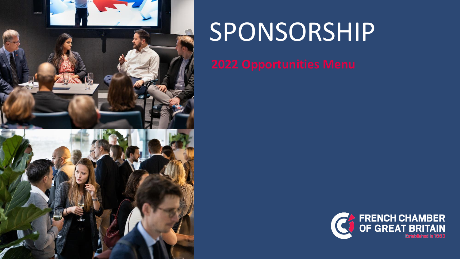

# SPONSORSHIP

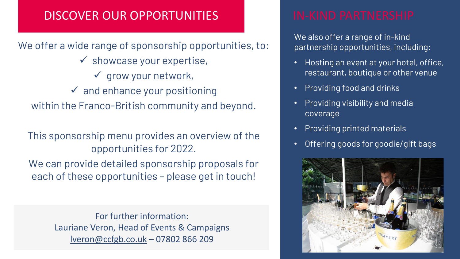# DISCOVER OUR OPPORTUNITIES IN-KIND PARTNERSHIP

We offer a wide range of sponsorship opportunities, to:  $\checkmark$  showcase your expertise,  $\checkmark$  grow your network,  $\checkmark$  and enhance your positioning within the Franco-British community and beyond.

This sponsorship menu provides an overview of the opportunities for 2022.

We can provide detailed sponsorship proposals for each of these opportunities – please get in touch!

> For further information: Lauriane Veron, Head of Events & Campaigns [lveron@ccfgb.co.uk](mailto:lveron@ccfgb.co.uk) – 07802 866 209

We also offer a range of in-kind partnership opportunities, including:

- Hosting an event at your hotel, office, restaurant, boutique or other venue
- Providing food and drinks
- Providing visibility and media coverage
- Providing printed materials
- Offering goods for goodie/gift bags

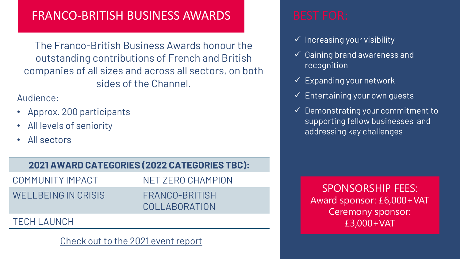# FRANCO-BRITISH BUSINESS AWARDS BEST FOR:

The Franco-British Business Awards honour the outstanding contributions of French and British companies of all sizes and across all sectors, on both sides of the Channel.

Audience:

- Approx. 200 participants
- All levels of seniority
- All sectors

### **2021 AWARD CATEGORIES (2022 CATEGORIES TBC):**

| COMMUNITY IMPACT    | NFT ZFRO CHAMPION               |
|---------------------|---------------------------------|
| WELLBEING IN CRISIS | FRANCO-BRITISH<br>COLLABORATION |
|                     |                                 |

#### TECH LAUNCH

#### [Check out to the 2021 event report](https://www.ccfgb.co.uk/resources/latest-articles/n/news/franco-british-business-awards-2021.html)

- $\checkmark$  Increasing your visibility
- $\checkmark$  Gaining brand awareness and recognition
- $\checkmark$  Expanding your network
- $\checkmark$  Entertaining your own quests
- $\checkmark$  Demonstrating your commitment to supporting fellow businesses and addressing key challenges

SPONSORSHIP FEES: Award sponsor: £6,000+VAT Ceremony sponsor: £3,000+VAT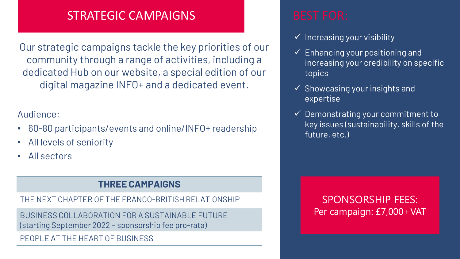# STRATEGIC CAMPAIGNS FOR:

Our strategic campaigns tackle the key priorities of our community through a range of activities, including a dedicated Hub on our website, a special edition of our digital magazine INFO+ and a dedicated event.

### Audience:

- 60-80 participants/events and online/INFO+ readership
- All levels of seniority
- All sectors

### **THREE CAMPAIGNS**

THE NEXT CHAPTER OF THE FRANCO-BRITISH RELATIONSHIP

BUSINESS COLLABORATION FOR A SUSTAINABLE FUTURE (starting September 2022 – sponsorship fee pro-rata)

PEOPLE AT THE HEART OF BUSINESS

- $\checkmark$  Increasing your visibility
- $\checkmark$  Enhancing your positioning and increasing your credibility on specific topics
- $\checkmark$  Showcasing your insights and expertise
- $\checkmark$  Demonstrating your commitment to key issues (sustainability, skills of the future, etc.)

SPONSORSHIP FEES: Per campaign: £7,000+VAT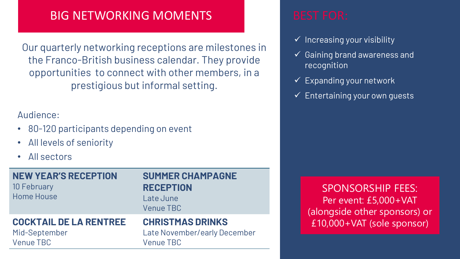# BIG NETWORKING MOMENTS BEST FOR:

Our quarterly networking receptions are milestones in the Franco-British business calendar. They provide opportunities to connect with other members, in a prestigious but informal setting.

### Audience:

- 80-120 participants depending on event
- All levels of seniority
- All sectors

**NEW YEAR'S RECEPTION** 10 February Home House

#### **SUMMER CHAMPAGNE RECEPTION** Late June

Venue TBC

#### **COCKTAIL DE LA RENTREE**

Mid-September Venue TBC

### **CHRISTMAS DRINKS**

Late November/early December Venue TBC

- $\checkmark$  Increasing your visibility
- $\checkmark$  Gaining brand awareness and recognition
- $\checkmark$  Expanding your network
- $\checkmark$  Entertaining your own quests

SPONSORSHIP FEES: Per event: £5,000+VAT (alongside other sponsors) or £10,000+VAT (sole sponsor)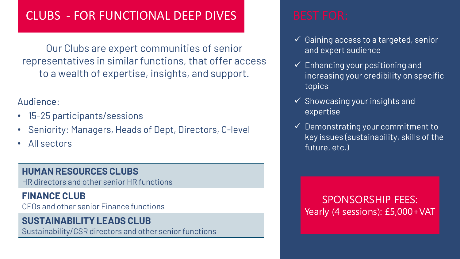# CLUBS - FOR FUNCTIONAL DEEP DIVES BEST FOR:

Our Clubs are expert communities of senior representatives in similar functions, that offer access to a wealth of expertise, insights, and support.

### Audience:

- 15-25 participants/sessions
- Seniority: Managers, Heads of Dept, Directors, C-level
- All sectors

### **HUMAN RESOURCES CLUBS**

HR directors and other senior HR functions

### **FINANCE CLUB**

CFOs and other senior Finance functions

## **SUSTAINABILITY LEADS CLUB**

Sustainability/CSR directors and other senior functions

- ✓ Gaining access to a targeted, senior and expert audience
- $\checkmark$  Enhancing your positioning and increasing your credibility on specific topics
- $\checkmark$  Showcasing your insights and expertise
- $\checkmark$  Demonstrating your commitment to key issues (sustainability, skills of the future, etc.)

SPONSORSHIP FEES: Yearly (4 sessions): £5,000+VAT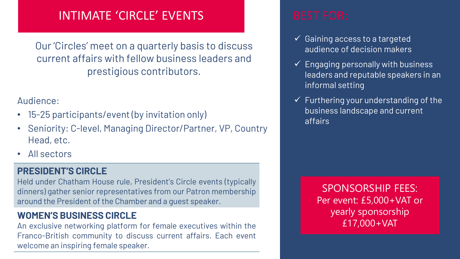# INTIMATE 'CIRCLE' EVENTS FOR:

Our 'Circles' meet on a quarterly basis to discuss current affairs with fellow business leaders and prestigious contributors.

#### Audience:

- 15-25 participants/event (by invitation only)
- Seniority: C-level, Managing Director/Partner, VP, Country Head, etc.
- All sectors

### **PRESIDENT'S CIRCLE**

Held under Chatham House rule, President's Circle events (typically dinners) gather senior representatives from our Patron membership around the President of the Chamber and a guest speaker.

### **WOMEN'S BUSINESS CIRCLE**

An exclusive networking platform for female executives within the Franco-British community to discuss current affairs. Each event welcome an inspiring female speaker.

- $\checkmark$  Gaining access to a targeted audience of decision makers
- ✓ Engaging personally with business leaders and reputable speakers in an informal setting
- $\checkmark$  Furthering your understanding of the business landscape and current affairs

SPONSORSHIP FEES: Per event: £5,000+VAT or yearly sponsorship £17,000+VAT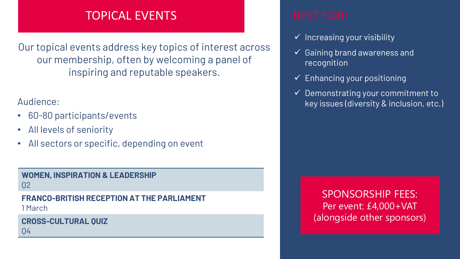# TOPICAL EVENTS TOPICAL EVENTS

Our topical events address key topics of interest across our membership, often by welcoming a panel of inspiring and reputable speakers.

### Audience:

- 60-80 participants/events
- All levels of seniority
- All sectors or specific, depending on event

#### **WOMEN, INSPIRATION & LEADERSHIP** Q2

### **FRANCO-BRITISH RECEPTION AT THE PARLIAMENT**

1 March

**CROSS-CULTURAL QUIZ** Q4

- $\checkmark$  Increasing your visibility
- $\checkmark$  Gaining brand awareness and recognition
- $\checkmark$  Enhancing your positioning
- $\checkmark$  Demonstrating your commitment to key issues (diversity & inclusion, etc.)

SPONSORSHIP FEES: Per event: £4,000+VAT (alongside other sponsors)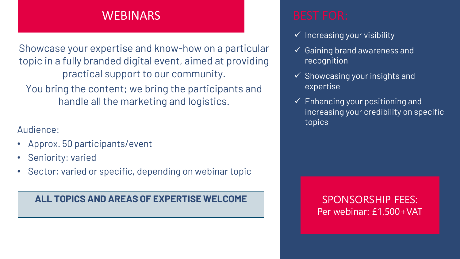## WEBINARS **BEST FOR:**

Showcase your expertise and know-how on a particular topic in a fully branded digital event, aimed at providing practical support to our community.

You bring the content; we bring the participants and handle all the marketing and logistics.

Audience:

- Approx. 50 participants/event
- Seniority: varied
- Sector: varied or specific, depending on webinar topic

### ALL TOPICS AND AREAS OF EXPERTISE WELCOME **SPONSORSHIP FEES:**

- $\checkmark$  Increasing your visibility
- $\checkmark$  Gaining brand awareness and recognition
- $\checkmark$  Showcasing your insights and expertise
- $\checkmark$  Enhancing your positioning and increasing your credibility on specific topics

# Per webinar: £1,500+VAT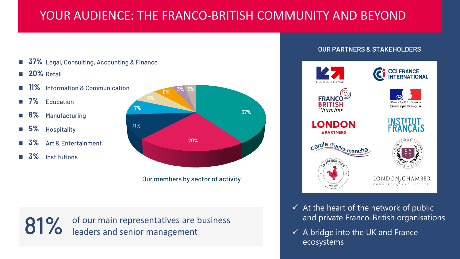# YOUR AUDIENCE: THE FRANCO-BRITISH COMMUNITY AND BEYOND

- 37% Legal, Consulting, Accounting & Finance
- 20% Retail
- 11% Information & Communication
- $7\%$  Education
- **Manufacturing**
- 5% Hospitality
- Art & Entertainment
- 3% Institutions



Our members by sector of activity

81% of our main representatives are business<br>81% leaders and senior management leaders and senior management

#### **OUR PARTNERS & STAKEHOLDERS**



- $\checkmark$  At the heart of the network of public and private Franco-British organisations
- $\checkmark$  A bridge into the UK and France ecosystems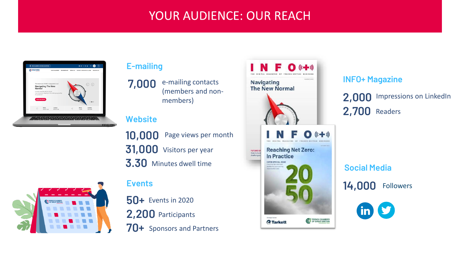# **YOUR AUDIENCE: OUR REACH**



#### **E-mailing**

e-mailing contacts (members and nonmembers) **7,000**

#### **Website**

10,000 Page views per month **31,000** Visitors per year **3.30** Minutes dwell time



#### **Events**

**PREVIOUS PARTICIPANTS 50+** Events in 2020 **70+** Sponsors and Partners



#### **INFO+ Magazine**

**2,000** Impressions on LinkedIn **2,700** Readers

**Social Media**

**14,000** Followers

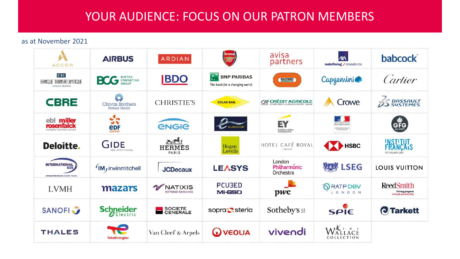# YOUR AUDIENCE: FOCUS ON OUR PATRON MEMBERS

#### as at November 2021